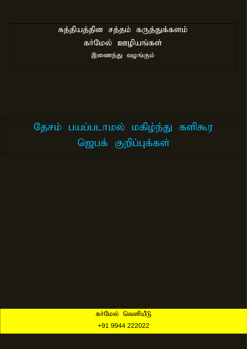சுத்தியத்தின சத்தம் கருத்துக்களம் கா்மேல் ஊழியங்கள் இணைந்து வழங்கும்

தேசம் பயப்படாமல் மகிழ்ந்து களிகூர ஜெபக் குறிப்புக்கள்

> <mark>கா்மேல் வெளியீடு</mark> +91 9944 222022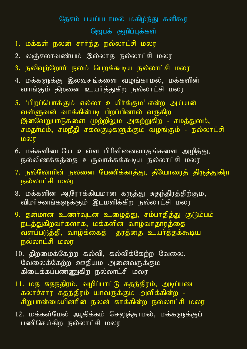## தேசம் பயப்படாமல் மகிழ்ந்து களிகூர ஜெபக் குறிப்புக்கள்

- 1. மக்கள் நலன் சார்ந்த நல்லாட்சி மலர
- 2. லஞ்சலாவண்யும் இல்லாத நல்லாட்சி மலர
- 3. நலிவுற்றோர் நலம் பெறக்கூடிய நல்லாட்சி மலர
- 4. மக்களுக்கு இலவசங்களை வழங்காமல், மக்களின் வாங்கும் திறனை உயர்த்துகிற நல்லாட்சி மலர
- 5. 'பிறப்பொக்கும் எல்லா உயிர்க்கும' என்ற அய்யன் வள்ளுவன் வாக்கின்படி பிறப்பினால் வருகிற இனவேறுபாடுகளை முற்றிலும அகற்றுகிற - சமத்துலம், சமதர்மம், சமநீதி சகலகுடிகளுக்கும் வழங்கும் - நல்லாட்சி மலா
- 6. மக்களிடையே உள்ள பிரிவினைவாதங்களை அழித்து, நல்லிணக்கத்தை உருவாக்கக்கூடிய நல்லாட்சி மலர
- 7. நல்லோரின் நலனை பேணிக்காத்து, தீயோரைத் திருத்துகிற நல்லாட்சி மலர
- 8. மக்களின ஆரோக்கியமான கருத்து சுதந்திரத்திற்கும, விமா்சனங்களுக்கும் இடமளிக்கிற நல்லாட்சி மலர
- 9. தன்மான உணர்வுடன உழைத்து, சம்பாதித்து குடும்பம் நடத்துகிறவா்களாக, மக்களின வாழ்வாதாரத்தை வளப்படுத்தி, வாழ்க்கைத் தரத்தை உயர்த்தக்கூடிய நல்லாட்சி மலர
- $10.$  திறமைக்கேற்ற கல்வி, கல்விக்கேற்ற வேலை, வேலைக்கேற்ற ஊதியம அனைவருக்கும் கிடைக்கப்பண்ணுகிற நல்லாட்சி மலர
- 11. மத சுதநதிரம், வழிப்பாட்டு சுதந்திரம், அடிப்படை கலாச்சார சுதந்திரம் யாவருக்கும அளிக்கின்ற -சிறுபான்மையினரின் நலன் காக்கின்ற நல்லாட்சி மலர
- 12. மக்கள்மேல் ஆதிக்கம் செலுத்தாமல், மக்களுக்குப் பணிசெய்கிற நல்லாட்சி மலர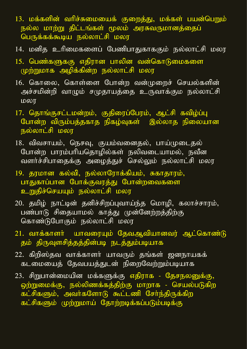- 13. மக்களின் வரிச்சுமையைக் குறைத்து, மக்கள் பயன்பெறும் நல்ல மாற்று திட்டங்கள் மூலம் அரசுவருமானத்தைப் பெருக்கக்கூடிய நல்லாட்சி மலர
- 14. மனித உரிமைகளைப் பேணிபாதுகாககும் நல்லாட்சி மலர
- 15. பெண்களுககு எதிரான பாலின வன்கொடுமைகளை முற்றுமாக அழிக்கின்ற நல்லாட்சி மலர
- 16. கொலை, கொள்ளை போன்ற வன்முறைச் செயல்களின் அச்சமின்றி வாழும் சமுதாயத்தை உருவாக்கும நல்லாட்சி மலர
- 17. தொங்குசட்டமன்றம், குதிரைப்பேரம், ஆட்சி கவிழ்ப்பு போன்ற விரும்பத்தகாத நிகழ்வுகள் இல்லாத நிலையான நல்லாட்சி மலர
- 18. விவசாயம், நெசவு, குயம்வனைதல், பாய்முடைதல் போன்ற பாரம்பரியதொழில்கள் நலிவடையாமல், நவீன வளர்ச்சிபாதைக்கு அழைத்துச் செல்லும் நல்லாட்சி மலர
- 19. தரமான கல்வி, நல்லாரோக்கியம், சுகாதாரம், பாதுகாப்பான போக்குவரத்து போன்றவைகளை உறுதிச்செயயும் நல்லாட்சி மலர
- 20. தமிழ் நாட்டின் தனிச்சிறப்புவாய்ந்த மொழி, கலாச்சாரம், பண்பாடு சிதையாமல் காத்து முன்னேற்றத்திற்கு கொண்டுபோகும் நல்லாட்சி மலர
- 21. வாக்காளா் யாவரையும் தேவஆவியானவர் ஆட்கொண்டு தம் திருவுளசித்தத்தின்படி நடத்தும்படியாக
- $22.$  கிறிஸ்தவ வாக்காளா் யாவரும் தங்கள் ஜனநாயகக் <u>கடமையைத் தேவபயத்துடன் நிறைவேற்றும்படியாக</u>
- 23. சிறுபான்மையின மக்களுக்கு எதிராக தேசநலனுக்கு, ஒற்றுமைக்கு, நல்லிணக்கத்திற்கு மாறாக - செயல்படுகிற கட்சிகளும், அவர்களோடு கூட்டணி சேர்ந்திருக்கிற கட்சிகளும் முற்றுமாய் தோற்றடிக்கப்படும்படிக்கு